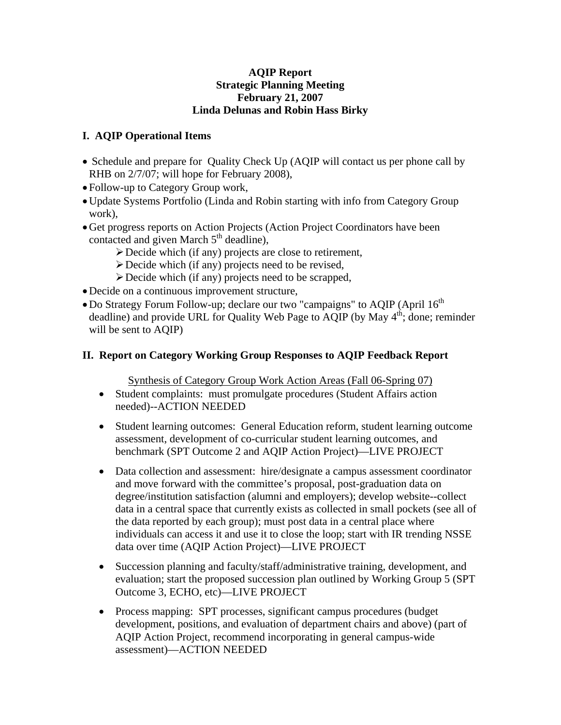## **AQIP Report Strategic Planning Meeting February 21, 2007 Linda Delunas and Robin Hass Birky**

## **I. AQIP Operational Items**

- Schedule and prepare for Quality Check Up (AQIP will contact us per phone call by RHB on  $2/7/07$ ; will hope for February 2008),
- Follow-up to Category Group work,
- •Update Systems Portfolio (Linda and Robin starting with info from Category Group work),
- •Get progress reports on Action Projects (Action Project Coordinators have been contacted and given March  $5<sup>th</sup>$  deadline),
	- ¾Decide which (if any) projects are close to retirement,
	- $\triangleright$  Decide which (if any) projects need to be revised,
	- $\triangleright$  Decide which (if any) projects need to be scrapped,
- •Decide on a continuous improvement structure,
- Do Strategy Forum Follow-up; declare our two "campaigns" to AQIP (April  $16<sup>th</sup>$ deadline) and provide URL for Quality Web Page to  $\widetilde{AQIP}$  (by May  $4<sup>th</sup>$ ; done; reminder will be sent to AQIP)

## **II. Report on Category Working Group Responses to AQIP Feedback Report**

Synthesis of Category Group Work Action Areas (Fall 06-Spring 07)

- Student complaints: must promulgate procedures (Student Affairs action needed)--ACTION NEEDED
- Student learning outcomes: General Education reform, student learning outcome assessment, development of co-curricular student learning outcomes, and benchmark (SPT Outcome 2 and AQIP Action Project)—LIVE PROJECT
- Data collection and assessment: hire/designate a campus assessment coordinator and move forward with the committee's proposal, post-graduation data on degree/institution satisfaction (alumni and employers); develop website--collect data in a central space that currently exists as collected in small pockets (see all of the data reported by each group); must post data in a central place where individuals can access it and use it to close the loop; start with IR trending NSSE data over time (AQIP Action Project)—LIVE PROJECT
- Succession planning and faculty/staff/administrative training, development, and evaluation; start the proposed succession plan outlined by Working Group 5 (SPT Outcome 3, ECHO, etc)—LIVE PROJECT
- Process mapping: SPT processes, significant campus procedures (budget) development, positions, and evaluation of department chairs and above) (part of AQIP Action Project, recommend incorporating in general campus-wide assessment)—ACTION NEEDED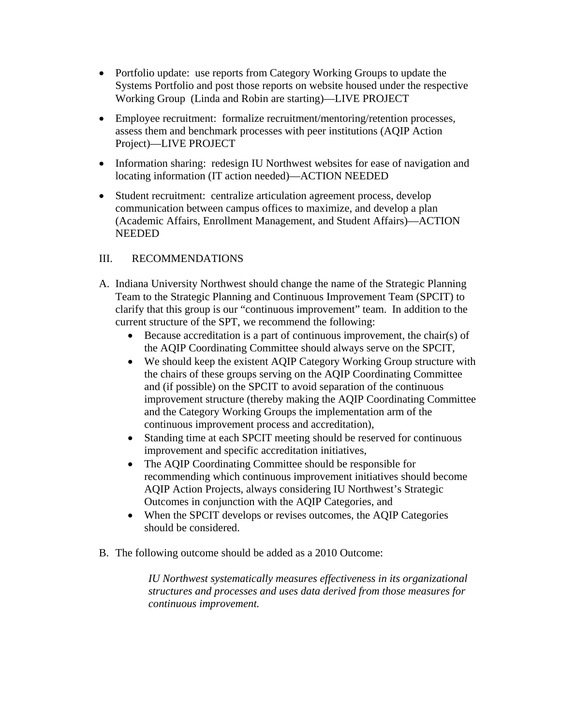- Portfolio update: use reports from Category Working Groups to update the Systems Portfolio and post those reports on website housed under the respective Working Group (Linda and Robin are starting)—LIVE PROJECT
- Employee recruitment: formalize recruitment/mentoring/retention processes, assess them and benchmark processes with peer institutions (AQIP Action Project)—LIVE PROJECT
- Information sharing: redesign IU Northwest websites for ease of navigation and locating information (IT action needed)—ACTION NEEDED
- Student recruitment: centralize articulation agreement process, develop communication between campus offices to maximize, and develop a plan (Academic Affairs, Enrollment Management, and Student Affairs)—ACTION NEEDED

## III. RECOMMENDATIONS

- A. Indiana University Northwest should change the name of the Strategic Planning Team to the Strategic Planning and Continuous Improvement Team (SPCIT) to clarify that this group is our "continuous improvement" team. In addition to the current structure of the SPT, we recommend the following:
	- Because accreditation is a part of continuous improvement, the chair(s) of the AQIP Coordinating Committee should always serve on the SPCIT,
	- We should keep the existent AQIP Category Working Group structure with the chairs of these groups serving on the AQIP Coordinating Committee and (if possible) on the SPCIT to avoid separation of the continuous improvement structure (thereby making the AQIP Coordinating Committee and the Category Working Groups the implementation arm of the continuous improvement process and accreditation),
	- Standing time at each SPCIT meeting should be reserved for continuous improvement and specific accreditation initiatives,
	- The AQIP Coordinating Committee should be responsible for recommending which continuous improvement initiatives should become AQIP Action Projects, always considering IU Northwest's Strategic Outcomes in conjunction with the AQIP Categories, and
	- When the SPCIT develops or revises outcomes, the AQIP Categories should be considered.
- B. The following outcome should be added as a 2010 Outcome:

*IU Northwest systematically measures effectiveness in its organizational structures and processes and uses data derived from those measures for continuous improvement.*